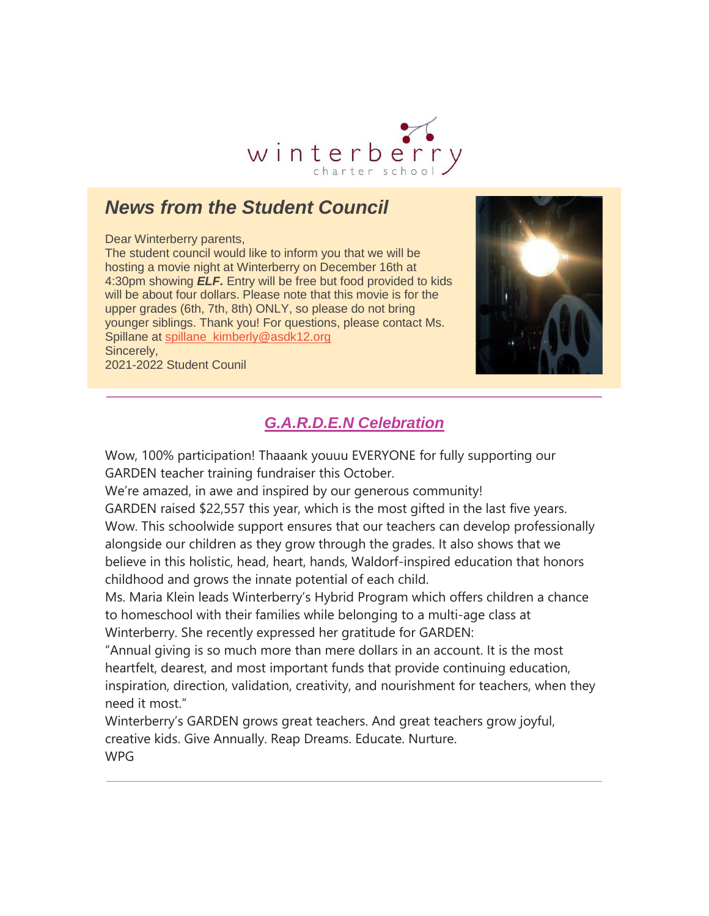

## *News from the Student Council*

Dear Winterberry parents,

The student council would like to inform you that we will be hosting a movie night at Winterberry on December 16th at 4:30pm showing *ELF.* Entry will be free but food provided to kids will be about four dollars. Please note that this movie is for the upper grades (6th, 7th, 8th) ONLY, so please do not bring younger siblings. Thank you! For questions, please contact Ms. Spillane at [spillane\\_kimberly@asdk12.org](mailto:spillane_kimberly@asdk12.org) Sincerely,

2021-2022 Student Counil



## *G.A.R.D.E.N Celebration*

Wow, 100% participation! Thaaank youuu EVERYONE for fully supporting our GARDEN teacher training fundraiser this October.

We're amazed, in awe and inspired by our generous community!

GARDEN raised \$22,557 this year, which is the most gifted in the last five years. Wow. This schoolwide support ensures that our teachers can develop professionally alongside our children as they grow through the grades. It also shows that we believe in this holistic, head, heart, hands, Waldorf-inspired education that honors childhood and grows the innate potential of each child.

Ms. Maria Klein leads Winterberry's Hybrid Program which offers children a chance to homeschool with their families while belonging to a multi-age class at Winterberry. She recently expressed her gratitude for GARDEN:

"Annual giving is so much more than mere dollars in an account. It is the most heartfelt, dearest, and most important funds that provide continuing education, inspiration, direction, validation, creativity, and nourishment for teachers, when they need it most."

Winterberry's GARDEN grows great teachers. And great teachers grow joyful, creative kids. Give Annually. Reap Dreams. Educate. Nurture. WPG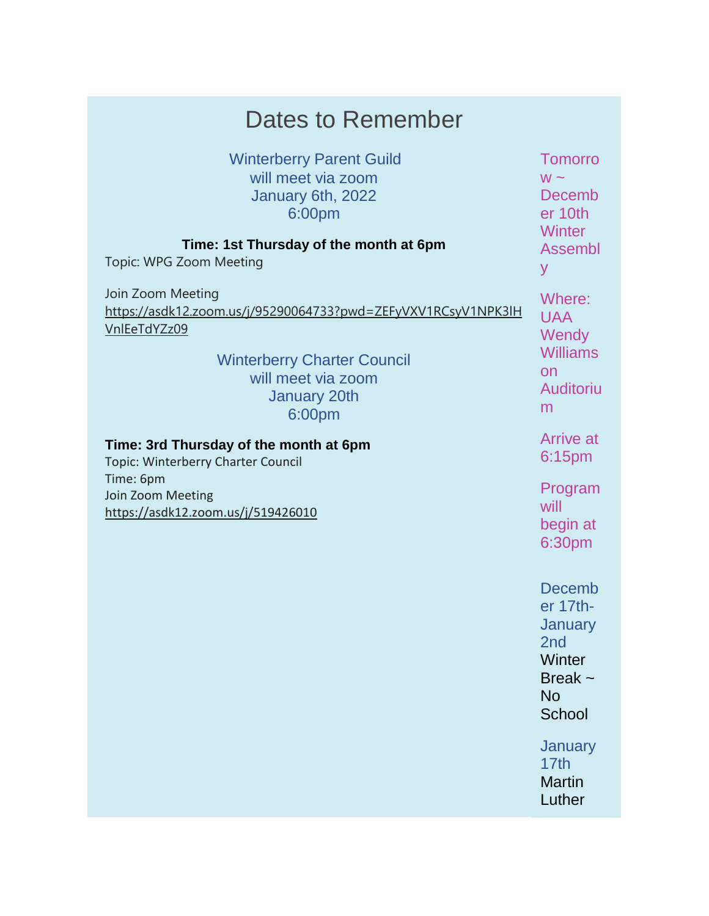| Dates to Remember                                                                                                                                                                               |                                                                                                                                    |
|-------------------------------------------------------------------------------------------------------------------------------------------------------------------------------------------------|------------------------------------------------------------------------------------------------------------------------------------|
| <b>Winterberry Parent Guild</b><br>will meet via zoom<br>January 6th, 2022<br>6:00pm                                                                                                            | <b>Tomorro</b><br>$W \sim$<br>Decemb<br>er 10th<br><b>Winter</b>                                                                   |
| Time: 1st Thursday of the month at 6pm<br>Topic: WPG Zoom Meeting                                                                                                                               | <b>Assembl</b><br>y                                                                                                                |
| Join Zoom Meeting<br>https://asdk12.zoom.us/j/95290064733?pwd=ZEFyVXV1RCsyV1NPK3lH<br>VnlEeTdYZz09<br><b>Winterberry Charter Council</b><br>will meet via zoom<br><b>January 20th</b><br>6:00pm | Where:<br><b>UAA</b><br>Wendy<br><b>Williams</b><br>on<br>Auditoriu<br>m                                                           |
| Time: 3rd Thursday of the month at 6pm<br><b>Topic: Winterberry Charter Council</b>                                                                                                             | <b>Arrive at</b><br>6:15pm                                                                                                         |
| Time: 6pm<br>Join Zoom Meeting<br>https://asdk12.zoom.us/j/519426010                                                                                                                            | Program<br>will<br>begin at<br>6:30pm                                                                                              |
|                                                                                                                                                                                                 | <b>Decemb</b><br>er 17th-<br>January<br>2 <sub>nd</sub><br>Winter<br>Break $\sim$<br><b>No</b><br>School<br><b>January</b><br>17th |
|                                                                                                                                                                                                 | <b>Martin</b><br>Luther                                                                                                            |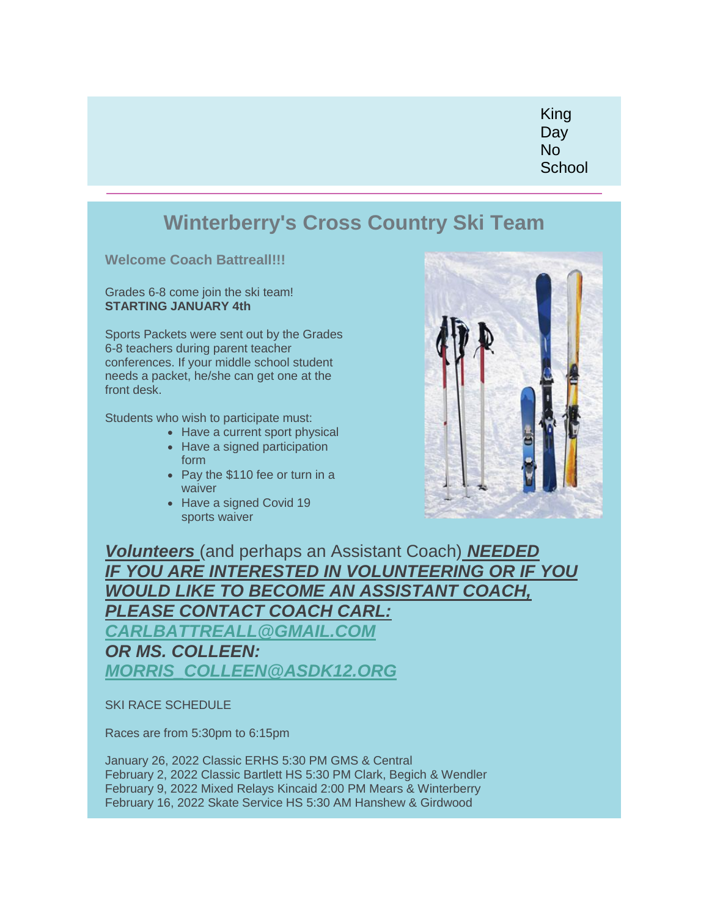King Day No **School** 

## **Winterberry's Cross Country Ski Team**

**Welcome Coach Battreall!!!**

Grades 6-8 come join the ski team! **STARTING JANUARY 4th**

Sports Packets were sent out by the Grades 6-8 teachers during parent teacher conferences. If your middle school student needs a packet, he/she can get one at the front desk.

Students who wish to participate must:

- Have a current sport physical
- Have a signed participation form
- Pay the \$110 fee or turn in a waiver
- Have a signed Covid 19 sports waiver



*Volunteers* (and perhaps an Assistant Coach) *NEEDED IF YOU ARE INTERESTED IN VOLUNTEERING OR IF YOU WOULD LIKE TO BECOME AN ASSISTANT COACH, PLEASE CONTACT COACH CARL:*

*[CARLBATTREALL@GMAIL.COM](mailto:CARLBATTREALL@GMAIL.COM)*

*OR MS. COLLEEN: [MORRIS\\_COLLEEN@ASDK12.ORG](mailto:morris_colleen@asdk12.org)*

SKI RACE SCHEDULE

Races are from 5:30pm to 6:15pm

January 26, 2022 Classic ERHS 5:30 PM GMS & Central February 2, 2022 Classic Bartlett HS 5:30 PM Clark, Begich & Wendler February 9, 2022 Mixed Relays Kincaid 2:00 PM Mears & Winterberry February 16, 2022 Skate Service HS 5:30 AM Hanshew & Girdwood